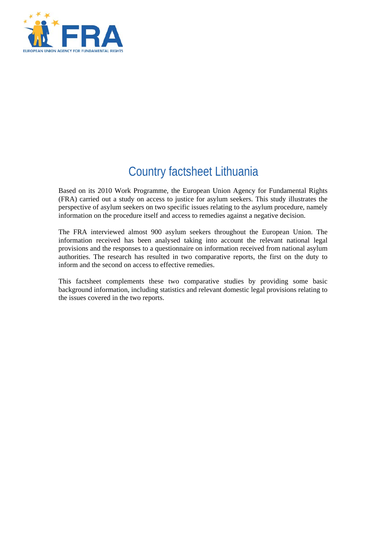

# Country factsheet Lithuania

Based on its 2010 Work Programme, the European Union Agency for Fundamental Rights (FRA) carried out a study on access to justice for asylum seekers. This study illustrates the perspective of asylum seekers on two specific issues relating to the asylum procedure, namely information on the procedure itself and access to remedies against a negative decision.

The FRA interviewed almost 900 asylum seekers throughout the European Union. The information received has been analysed taking into account the relevant national legal provisions and the responses to a questionnaire on information received from national asylum authorities. The research has resulted in two comparative reports, the first on the duty to inform and the second on access to effective remedies.

This factsheet complements these two comparative studies by providing some basic background information, including statistics and relevant domestic legal provisions relating to the issues covered in the two reports.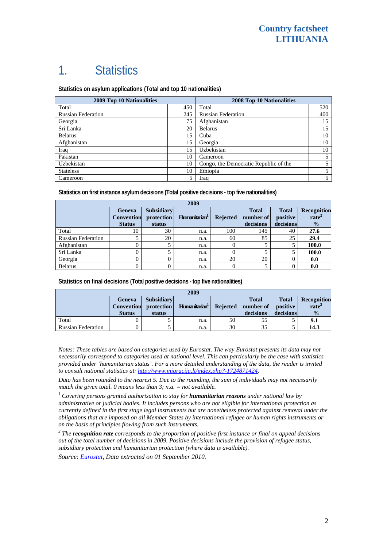# 1. Statistics

**Statistics on asylum applications (Total and top 10 nationalities)**

| <b>2009 Top 10 Nationalities</b> | 2008 Top 10 Nationalities |                                       |     |
|----------------------------------|---------------------------|---------------------------------------|-----|
| Total                            | 450                       | Total                                 | 520 |
| <b>Russian Federation</b>        | 245                       | <b>Russian Federation</b>             | 400 |
| Georgia                          | 75                        | Afghanistan                           | 15  |
| Sri Lanka                        | 20                        | <b>Belarus</b>                        | 15  |
| <b>Belarus</b>                   | 15                        | Cuba                                  | 10  |
| Afghanistan                      | 15                        | Georgia                               | 10  |
| Iraq                             | 15                        | Uzbekistan                            | 10  |
| Pakistan                         | 10                        | Cameroon                              |     |
| Uzbekistan                       | 10                        | Congo, the Democratic Republic of the |     |
| <b>Stateless</b>                 | 10                        | Ethiopia                              | 5   |
| Cameroon                         | 5                         | Iraq                                  | 5   |

**Statistics on first instance asylum decisions (Total positive decisions - top five nationalities)** 

| 2009                      |                                              |                                           |                           |                 |                                        |                                       |                                                   |
|---------------------------|----------------------------------------------|-------------------------------------------|---------------------------|-----------------|----------------------------------------|---------------------------------------|---------------------------------------------------|
|                           | Geneva<br><b>Convention</b><br><b>Status</b> | <b>Subsidiary</b><br>protection<br>status | Humanitarian <sup>1</sup> | <b>Rejected</b> | <b>Total</b><br>number of<br>decisions | <b>Total</b><br>positive<br>decisions | Recognition<br>rate <sup>2</sup><br>$\frac{1}{2}$ |
| Total                     | 10                                           | 30                                        | n.a.                      | 100             | 145                                    | 40                                    | 27.6                                              |
| <b>Russian Federation</b> |                                              | 20                                        | n.a.                      | 60              | 85                                     | 25                                    | 29.4                                              |
| Afghanistan               | 0                                            |                                           | n.a.                      | 0               |                                        |                                       | 100.0                                             |
| Sri Lanka                 | 0                                            |                                           | n.a.                      | $\Omega$        |                                        |                                       | 100.0                                             |
| Georgia                   | 0                                            |                                           | n.a.                      | 20              | 20                                     |                                       | 0.0                                               |
| <b>Belarus</b>            | 0                                            |                                           | n.a.                      |                 |                                        |                                       | 0.0                                               |

**Statistics on final decisions (Total positive decisions - top five nationalities)** 

| 2009                      |               |                       |                           |                 |              |              |                    |
|---------------------------|---------------|-----------------------|---------------------------|-----------------|--------------|--------------|--------------------|
|                           | Geneva        | <b>Subsidiary</b>     |                           |                 | <b>Total</b> | <b>Total</b> | <b>Recognition</b> |
|                           |               | Convention protection | Humanitarian <sup>1</sup> | <b>Rejected</b> | number of    | positive     | rate <sup>2</sup>  |
|                           | <b>Status</b> | status                |                           |                 | decisions    | decisions    | $\frac{0}{0}$      |
| Total                     |               |                       | n.a.                      | 50              | 55           |              | 9.1                |
| <b>Russian Federation</b> |               |                       | n.a.                      | 30              | 35           |              | 14.3               |

*Notes: These tables are based on categories used by Eurostat. The way Eurostat presents its data may not necessarily correspond to categories used at national level. This can particularly be the case with statistics provided under 'humanitarian status'. For a more detailed understanding of the data, the reader is invited to consult national statistics at: [http://www.migracija.lt/index.php?-1724871424.](http://www.migracija.lt/index.php?-1724871424)* 

*Data has been rounded to the nearest 5. Due to the rounding, the sum of individuals may not necessarily match the given total. 0 means less than 3; n.a. = not available.* 

<sup>1</sup> Covering persons granted authorisation to stay for **humanitarian reasons** under national law by *administrative or judicial bodies. It includes persons who are not eligible for international protection as currently defined in the first stage legal instruments but are nonetheless protected against removal under the obligations that are imposed on all Member States by international refugee or human rights instruments or on the basis of principles flowing from such instruments.* 

*2 The recognition rate corresponds to the proportion of positive first instance or final on appeal decisions out of the total number of decisions in 2009. Positive decisions include the provision of refugee status, subsidiary protection and humanitarian protection (where data is available).* 

*Source: [Eurostat](http://epp.eurostat.ec.europa.eu/), Data extracted on 01 September 2010.*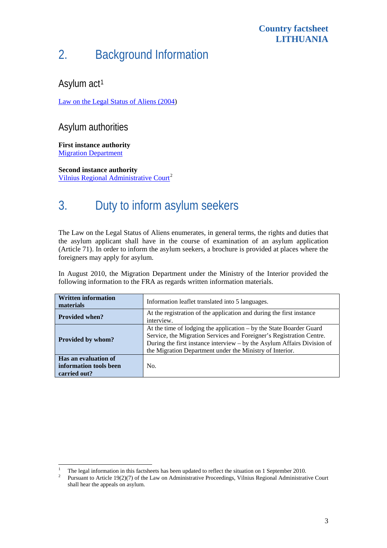#### **Country factsheet LITHUANIA**

# 2. Background Information

## Asylum act<sup>[1](#page-2-0)</sup>

[Law on the Legal Status of Aliens \(2004\)](http://www3.lrs.lt/pls/inter3/dokpaieska.showdoc_l?p_id=356478)

### Asylum authorities

**First instance authority**  [Migration Department](http://www.migracija.lt/)

**Second instance authority**  [Vilnius Regional Administrative Court](http://www.vaateismas.lt/index.php/en/35893)<sup>[2](#page-2-1)</sup>

# 3. Duty to inform asylum seekers

The Law on the Legal Status of Aliens enumerates, in general terms, the rights and duties that the asylum applicant shall have in the course of examination of an asylum application (Article 71). In order to inform the asylum seekers, a brochure is provided at places where the foreigners may apply for asylum.

In August 2010, the Migration Department under the Ministry of the Interior provided the following information to the FRA as regards written information materials.

| <b>Written information</b><br>materials                        | Information leaflet translated into 5 languages.                                                                                                                                                                                                                                   |  |  |  |
|----------------------------------------------------------------|------------------------------------------------------------------------------------------------------------------------------------------------------------------------------------------------------------------------------------------------------------------------------------|--|--|--|
| <b>Provided when?</b>                                          | At the registration of the application and during the first instance<br>interview.                                                                                                                                                                                                 |  |  |  |
| <b>Provided by whom?</b>                                       | At the time of lodging the application – by the State Boarder Guard<br>Service, the Migration Services and Foreigner's Registration Centre.<br>During the first instance interview – by the Asylum Affairs Division of<br>the Migration Department under the Ministry of Interior. |  |  |  |
| Has an evaluation of<br>information tools been<br>carried out? | No.                                                                                                                                                                                                                                                                                |  |  |  |

<span id="page-2-0"></span> $\frac{1}{1}$ <sup>1</sup> The legal information in this factsheets has been updated to reflect the situation on 1 September 2010.

<span id="page-2-1"></span>Pursuant to Article 19(2)(7) of the Law on Administrative Proceedings, Vilnius Regional Administrative Court shall hear the appeals on asylum.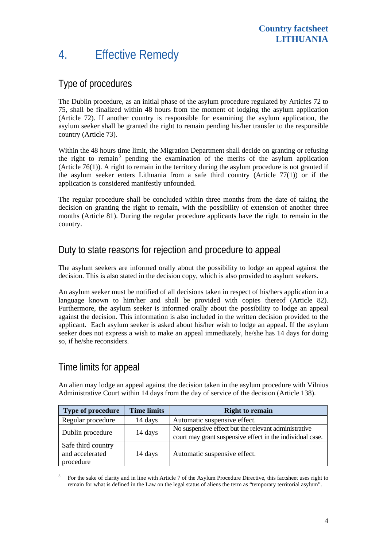# 4. Effective Remedy

#### Type of procedures

The Dublin procedure, as an initial phase of the asylum procedure regulated by Articles 72 to 75, shall be finalized within 48 hours from the moment of lodging the asylum application (Article 72). If another country is responsible for examining the asylum application, the asylum seeker shall be granted the right to remain pending his/her transfer to the responsible country (Article 73).

Within the 48 hours time limit, the Migration Department shall decide on granting or refusing the right to remain<sup>[3](#page-3-0)</sup> pending the examination of the merits of the asylum application (Article 76(1)). A right to remain in the territory during the asylum procedure is not granted if the asylum seeker enters Lithuania from a safe third country (Article 77(1)) or if the application is considered manifestly unfounded.

The regular procedure shall be concluded within three months from the date of taking the decision on granting the right to remain, with the possibility of extension of another three months (Article 81). During the regular procedure applicants have the right to remain in the country.

#### Duty to state reasons for rejection and procedure to appeal

The asylum seekers are informed orally about the possibility to lodge an appeal against the decision. This is also stated in the decision copy, which is also provided to asylum seekers.

An asylum seeker must be notified of all decisions taken in respect of his/hers application in a language known to him/her and shall be provided with copies thereof (Article 82). Furthermore, the asylum seeker is informed orally about the possibility to lodge an appeal against the decision. This information is also included in the written decision provided to the applicant. Each asylum seeker is asked about his/her wish to lodge an appeal. If the asylum seeker does not express a wish to make an appeal immediately, he/she has 14 days for doing so, if he/she reconsiders.

### Time limits for appeal

An alien may lodge an appeal against the decision taken in the asylum procedure with Vilnius Administrative Court within 14 days from the day of service of the decision (Article 138).

| <b>Type of procedure</b>                           | <b>Time limits</b> | <b>Right to remain</b>                                                                                            |
|----------------------------------------------------|--------------------|-------------------------------------------------------------------------------------------------------------------|
| Regular procedure                                  | 14 days            | Automatic suspensive effect.                                                                                      |
| Dublin procedure                                   | 14 days            | No suspensive effect but the relevant administrative<br>court may grant suspensive effect in the individual case. |
| Safe third country<br>and accelerated<br>procedure | 14 days            | Automatic suspensive effect.                                                                                      |

<span id="page-3-0"></span> $\frac{1}{3}$  For the sake of clarity and in line with Article 7 of the Asylum Procedure Directive, this factsheet uses right to remain for what is defined in the Law on the legal status of aliens the term as "temporary territorial asylum".